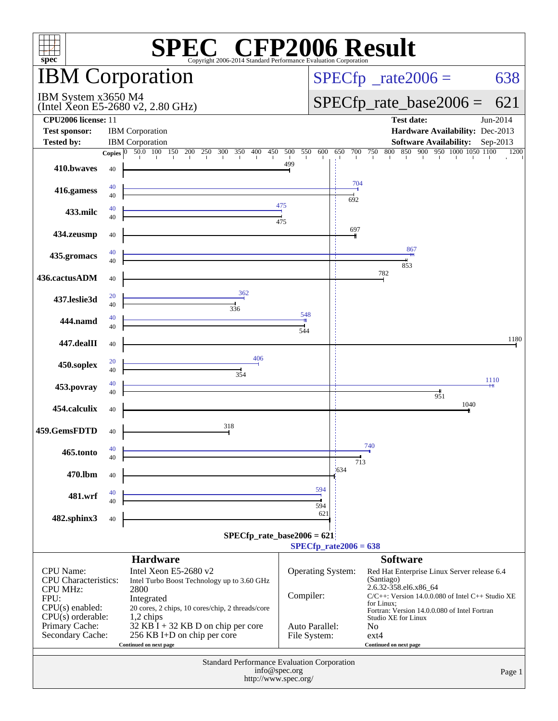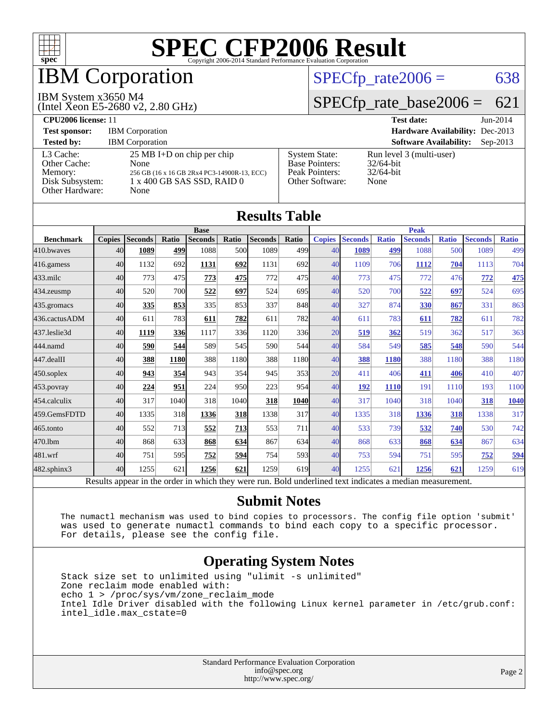

## IBM Corporation

#### IBM System x3650 M4

(Intel Xeon E5-2680 v2, 2.80 GHz)

 $SPECTp_rate2006 = 638$ 

#### [SPECfp\\_rate\\_base2006 =](http://www.spec.org/auto/cpu2006/Docs/result-fields.html#SPECfpratebase2006) 621

| <b>CPU2006 license: 11</b>                                                 |                                                                                                                                   |                                                                                    | <b>Test date:</b><br>$Jun-2014$                                  |
|----------------------------------------------------------------------------|-----------------------------------------------------------------------------------------------------------------------------------|------------------------------------------------------------------------------------|------------------------------------------------------------------|
| <b>Test sponsor:</b>                                                       | <b>IBM</b> Corporation                                                                                                            |                                                                                    | Hardware Availability: Dec-2013                                  |
| <b>Tested by:</b>                                                          | <b>IBM</b> Corporation                                                                                                            |                                                                                    | <b>Software Availability:</b><br>$Sen-2013$                      |
| L3 Cache:<br>Other Cache:<br>Memory:<br>Disk Subsystem:<br>Other Hardware: | $25 \text{ MB I+D}$ on chip per chip<br>None<br>256 GB (16 x 16 GB 2Rx4 PC3-14900R-13, ECC)<br>1 x 400 GB SAS SSD, RAID 0<br>None | <b>System State:</b><br><b>Base Pointers:</b><br>Peak Pointers:<br>Other Software: | Run level 3 (multi-user)<br>$32/64$ -bit<br>$32/64$ -bit<br>None |

**[Results Table](http://www.spec.org/auto/cpu2006/Docs/result-fields.html#ResultsTable)**

| Results Table                                                                                            |                 |                |       |                |            |                |             |               |                |              |                |              |                |              |
|----------------------------------------------------------------------------------------------------------|-----------------|----------------|-------|----------------|------------|----------------|-------------|---------------|----------------|--------------|----------------|--------------|----------------|--------------|
|                                                                                                          | <b>Base</b>     |                |       |                |            | <b>Peak</b>    |             |               |                |              |                |              |                |              |
| <b>Benchmark</b>                                                                                         | <b>Copies</b>   | <b>Seconds</b> | Ratio | <b>Seconds</b> | Ratio      | <b>Seconds</b> | Ratio       | <b>Copies</b> | <b>Seconds</b> | <b>Ratio</b> | <b>Seconds</b> | <b>Ratio</b> | <b>Seconds</b> | <b>Ratio</b> |
| 410.bwayes                                                                                               | 40              | 1089           | 499   | 1088           | 500        | 1089           | 499         | 40            | 1089           | 499          | 1088           | 500          | 1089           | 499          |
| 416.gamess                                                                                               | 40              | 1132           | 692   | 1131           | 692        | 1131           | 692         | 40            | 1109           | 706          | 1112           | 704          | 1113           | 704          |
| $433$ .milc                                                                                              | 40              | 773            | 475   | 773            | 475        | 772            | 475         | 40            | 773            | 475          | 772            | 476          | 772            | 475          |
| 434.zeusmp                                                                                               | 40              | 520            | 700   | 522            | 697        | 524            | 695         | 40            | 520            | 700          | 522            | 697          | 524            | 695          |
| 435.gromacs                                                                                              | 40 <sup>1</sup> | 335            | 853   | 335            | 853        | 337            | 848         | 40            | 327            | 874          | 330            | 867          | 331            | 863          |
| 436.cactusADM                                                                                            | 40              | 611            | 783   | 611            | 782        | 611            | 782         | 40            | 611            | 783          | 611            | 782          | 611            | 782          |
| 437.leslie3d                                                                                             | 40              | 1119           | 336   | 1117           | 336        | 1120           | 336         | 20            | <u>519</u>     | 362          | 519            | 362          | 517            | 363          |
| 444.namd                                                                                                 | 40              | 590            | 544   | 589            | 545        | 590            | 544l        | 40            | 584            | 549          | 585            | 548          | 590            | 544          |
| 447.dealII                                                                                               | 40              | 388            | 1180  | 388            | 1180       | 388            | 1180        | 40            | 388            | 1180         | 388            | 1180         | 388            | 1180         |
| $450$ .soplex                                                                                            | 40              | 943            | 354   | 943            | 354        | 945            | 353         | 20            | 411            | 406          | 411            | 406          | 410            | 407          |
| 453.povray                                                                                               | 40              | 224            | 951   | 224            | 950        | 223            | 954         | 40            | 192            | <b>1110</b>  | 191            | 1110         | 193            | 1100         |
| 454.calculix                                                                                             | 40              | 317            | 1040  | 318            | 1040       | 318            | <b>1040</b> | 40            | 317            | 1040         | 318            | 1040         | 318            | 1040         |
| 459.GemsFDTD                                                                                             | 40              | 1335           | 318   | 1336           | 318        | 1338           | 317         | 40            | 1335           | 318          | 1336           | 318          | 1338           | 317          |
| 465.tonto                                                                                                | 40              | 552            | 713   | 552            | <u>713</u> | 553            | 711         | 40            | 533            | 739          | 532            | 740          | 530            | 742          |
| 470.1bm                                                                                                  | 40              | 868            | 633   | 868            | 634        | 867            | 634         | 40            | 868            | 633          | 868            | 634          | 867            | 634          |
| 481.wrf                                                                                                  | 40              | 751            | 595   | 752            | 594        | 754            | 593         | 40            | 753            | 594          | 751            | 595          | 752            | 594          |
| 482.sphinx3                                                                                              | 40              | 1255           | 621   | 1256           | 621        | 1259           | 619         | 40            | 1255           | 621          | 1256           | 621          | 1259           | 619          |
| Results appear in the order in which they were run. Bold underlined text indicates a median measurement. |                 |                |       |                |            |                |             |               |                |              |                |              |                |              |

#### **[Submit Notes](http://www.spec.org/auto/cpu2006/Docs/result-fields.html#SubmitNotes)**

 The numactl mechanism was used to bind copies to processors. The config file option 'submit' was used to generate numactl commands to bind each copy to a specific processor. For details, please see the config file.

#### **[Operating System Notes](http://www.spec.org/auto/cpu2006/Docs/result-fields.html#OperatingSystemNotes)**

 Stack size set to unlimited using "ulimit -s unlimited" Zone reclaim mode enabled with: echo 1 > /proc/sys/vm/zone\_reclaim\_mode Intel Idle Driver disabled with the following Linux kernel parameter in /etc/grub.conf: intel\_idle.max\_cstate=0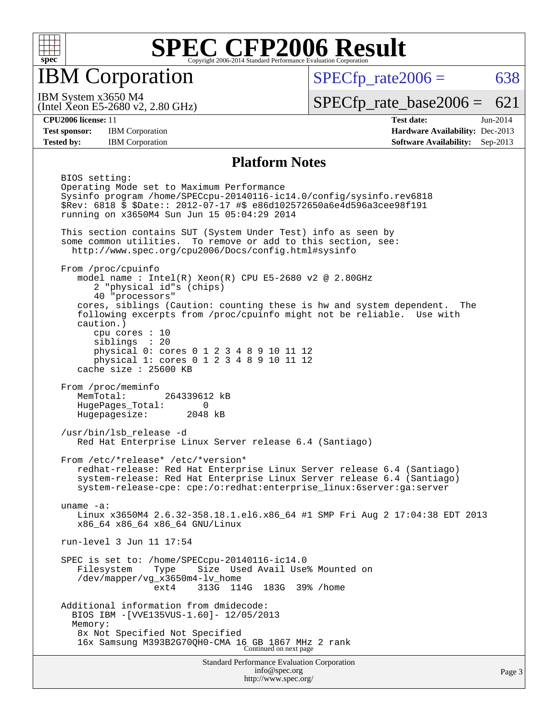

IBM Corporation

 $SPECTp\_rate2006 = 638$ 

(Intel Xeon E5-2680 v2, 2.80 GHz) IBM System x3650 M4

[SPECfp\\_rate\\_base2006 =](http://www.spec.org/auto/cpu2006/Docs/result-fields.html#SPECfpratebase2006) 621

**[CPU2006 license:](http://www.spec.org/auto/cpu2006/Docs/result-fields.html#CPU2006license)** 11 **[Test date:](http://www.spec.org/auto/cpu2006/Docs/result-fields.html#Testdate)** Jun-2014 **[Test sponsor:](http://www.spec.org/auto/cpu2006/Docs/result-fields.html#Testsponsor)** IBM Corporation **[Hardware Availability:](http://www.spec.org/auto/cpu2006/Docs/result-fields.html#HardwareAvailability)** Dec-2013 **[Tested by:](http://www.spec.org/auto/cpu2006/Docs/result-fields.html#Testedby)** IBM Corporation **[Software Availability:](http://www.spec.org/auto/cpu2006/Docs/result-fields.html#SoftwareAvailability)** Sep-2013

#### **[Platform Notes](http://www.spec.org/auto/cpu2006/Docs/result-fields.html#PlatformNotes)**

Standard Performance Evaluation Corporation [info@spec.org](mailto:info@spec.org) BIOS setting: Operating Mode set to Maximum Performance Sysinfo program /home/SPECcpu-20140116-ic14.0/config/sysinfo.rev6818 \$Rev: 6818 \$ \$Date:: 2012-07-17 #\$ e86d102572650a6e4d596a3cee98f191 running on x3650M4 Sun Jun 15 05:04:29 2014 This section contains SUT (System Under Test) info as seen by some common utilities. To remove or add to this section, see: <http://www.spec.org/cpu2006/Docs/config.html#sysinfo> From /proc/cpuinfo model name : Intel $(R)$  Xeon $(R)$  CPU E5-2680 v2 @ 2.80GHz 2 "physical id"s (chips) 40 "processors" cores, siblings (Caution: counting these is hw and system dependent. The following excerpts from /proc/cpuinfo might not be reliable. Use with caution.) cpu cores : 10 siblings : 20 physical 0: cores 0 1 2 3 4 8 9 10 11 12 physical 1: cores 0 1 2 3 4 8 9 10 11 12 cache size : 25600 KB From /proc/meminfo MemTotal: 264339612 kB HugePages\_Total: 0 Hugepagesize: 2048 kB /usr/bin/lsb\_release -d Red Hat Enterprise Linux Server release 6.4 (Santiago) From /etc/\*release\* /etc/\*version\* redhat-release: Red Hat Enterprise Linux Server release 6.4 (Santiago) system-release: Red Hat Enterprise Linux Server release 6.4 (Santiago) system-release-cpe: cpe:/o:redhat:enterprise\_linux:6server:ga:server uname -a: Linux x3650M4 2.6.32-358.18.1.el6.x86\_64 #1 SMP Fri Aug 2 17:04:38 EDT 2013 x86\_64 x86\_64 x86\_64 GNU/Linux run-level 3 Jun 11 17:54 SPEC is set to: /home/SPECcpu-20140116-ic14.0 Size Used Avail Use% Mounted on /dev/mapper/vg\_x3650m4-lv\_home ext4 313G 114G 183G 39% /home Additional information from dmidecode: BIOS IBM -[VVE135VUS-1.60]- 12/05/2013 Memory: 8x Not Specified Not Specified 16x Samsung M393B2G70QH0-CMA 16 GB 1867 MHz 2 rank Continued on next page

<http://www.spec.org/>

Page 3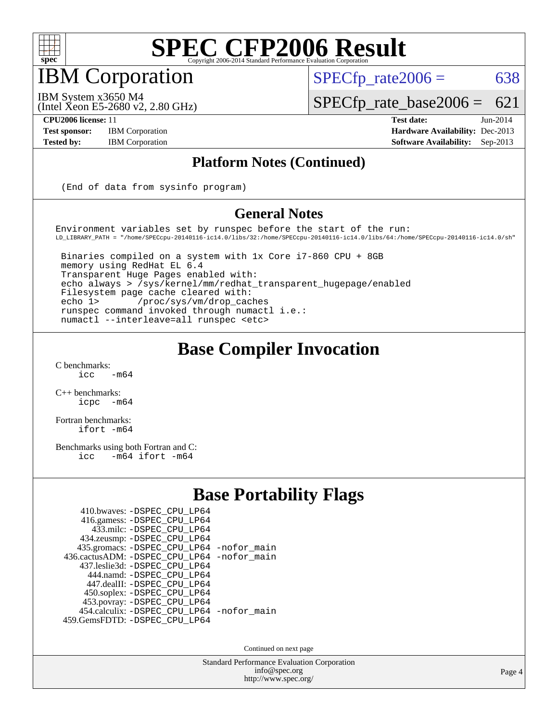

### IBM Corporation

 $SPECTp\_rate2006 = 638$ 

IBM System x3650 M4

(Intel Xeon E5-2680 v2, 2.80 GHz)

**[Tested by:](http://www.spec.org/auto/cpu2006/Docs/result-fields.html#Testedby)** IBM Corporation **[Software Availability:](http://www.spec.org/auto/cpu2006/Docs/result-fields.html#SoftwareAvailability)** Sep-2013

[SPECfp\\_rate\\_base2006 =](http://www.spec.org/auto/cpu2006/Docs/result-fields.html#SPECfpratebase2006) 621 **[CPU2006 license:](http://www.spec.org/auto/cpu2006/Docs/result-fields.html#CPU2006license)** 11 **[Test date:](http://www.spec.org/auto/cpu2006/Docs/result-fields.html#Testdate)** Jun-2014 **[Test sponsor:](http://www.spec.org/auto/cpu2006/Docs/result-fields.html#Testsponsor)** IBM Corporation **[Hardware Availability:](http://www.spec.org/auto/cpu2006/Docs/result-fields.html#HardwareAvailability)** Dec-2013

#### **[Platform Notes \(Continued\)](http://www.spec.org/auto/cpu2006/Docs/result-fields.html#PlatformNotes)**

(End of data from sysinfo program)

#### **[General Notes](http://www.spec.org/auto/cpu2006/Docs/result-fields.html#GeneralNotes)**

Environment variables set by runspec before the start of the run: LD\_LIBRARY\_PATH = "/home/SPECcpu-20140116-ic14.0/libs/32:/home/SPECcpu-20140116-ic14.0/libs/64:/home/SPECcpu-20140116-ic14.0/sh"

 Binaries compiled on a system with 1x Core i7-860 CPU + 8GB memory using RedHat EL 6.4 Transparent Huge Pages enabled with: echo always > /sys/kernel/mm/redhat\_transparent\_hugepage/enabled Filesystem page cache cleared with: echo 1> /proc/sys/vm/drop\_caches runspec command invoked through numactl i.e.: numactl --interleave=all runspec <etc>

#### **[Base Compiler Invocation](http://www.spec.org/auto/cpu2006/Docs/result-fields.html#BaseCompilerInvocation)**

 $C$  benchmarks:<br>icc  $-m64$ 

[C++ benchmarks:](http://www.spec.org/auto/cpu2006/Docs/result-fields.html#CXXbenchmarks) [icpc -m64](http://www.spec.org/cpu2006/results/res2014q3/cpu2006-20140617-29958.flags.html#user_CXXbase_intel_icpc_64bit_bedb90c1146cab66620883ef4f41a67e)

[Fortran benchmarks](http://www.spec.org/auto/cpu2006/Docs/result-fields.html#Fortranbenchmarks): [ifort -m64](http://www.spec.org/cpu2006/results/res2014q3/cpu2006-20140617-29958.flags.html#user_FCbase_intel_ifort_64bit_ee9d0fb25645d0210d97eb0527dcc06e)

[Benchmarks using both Fortran and C](http://www.spec.org/auto/cpu2006/Docs/result-fields.html#BenchmarksusingbothFortranandC): [icc -m64](http://www.spec.org/cpu2006/results/res2014q3/cpu2006-20140617-29958.flags.html#user_CC_FCbase_intel_icc_64bit_0b7121f5ab7cfabee23d88897260401c) [ifort -m64](http://www.spec.org/cpu2006/results/res2014q3/cpu2006-20140617-29958.flags.html#user_CC_FCbase_intel_ifort_64bit_ee9d0fb25645d0210d97eb0527dcc06e)

#### **[Base Portability Flags](http://www.spec.org/auto/cpu2006/Docs/result-fields.html#BasePortabilityFlags)**

| 410.bwaves: - DSPEC_CPU_LP64               |  |
|--------------------------------------------|--|
| 416.gamess: - DSPEC_CPU_LP64               |  |
| 433.milc: -DSPEC CPU LP64                  |  |
| 434.zeusmp: -DSPEC_CPU_LP64                |  |
| 435.gromacs: -DSPEC_CPU_LP64 -nofor_main   |  |
| 436.cactusADM: -DSPEC CPU LP64 -nofor main |  |
| 437.leslie3d: -DSPEC CPU LP64              |  |
| 444.namd: - DSPEC CPU LP64                 |  |
| 447.dealII: -DSPEC_CPU LP64                |  |
| 450.soplex: -DSPEC_CPU_LP64                |  |
| 453.povray: -DSPEC_CPU_LP64                |  |
| 454.calculix: - DSPEC_CPU_LP64 -nofor_main |  |
| 459.GemsFDTD: - DSPEC_CPU_LP64             |  |
|                                            |  |

Continued on next page

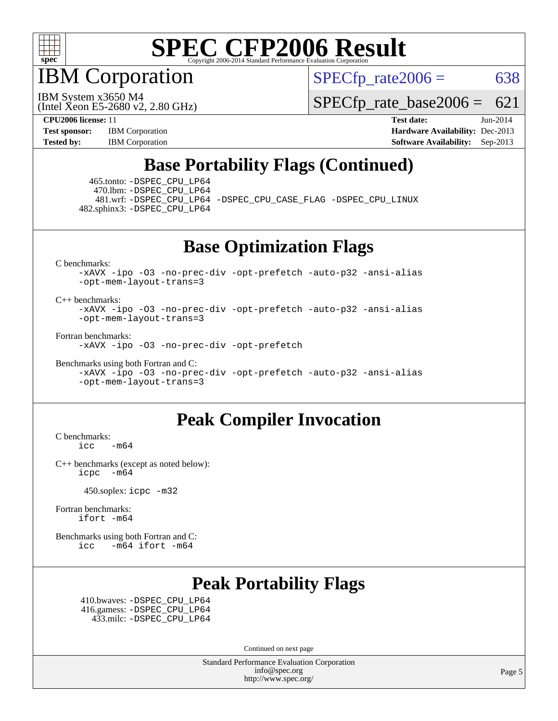

IBM Corporation

 $SPECTp\_rate2006 = 638$ 

(Intel Xeon E5-2680 v2, 2.80 GHz) IBM System x3650 M4

[SPECfp\\_rate\\_base2006 =](http://www.spec.org/auto/cpu2006/Docs/result-fields.html#SPECfpratebase2006) 621

**[CPU2006 license:](http://www.spec.org/auto/cpu2006/Docs/result-fields.html#CPU2006license)** 11 **[Test date:](http://www.spec.org/auto/cpu2006/Docs/result-fields.html#Testdate)** Jun-2014 **[Test sponsor:](http://www.spec.org/auto/cpu2006/Docs/result-fields.html#Testsponsor)** IBM Corporation **[Hardware Availability:](http://www.spec.org/auto/cpu2006/Docs/result-fields.html#HardwareAvailability)** Dec-2013 **[Tested by:](http://www.spec.org/auto/cpu2006/Docs/result-fields.html#Testedby)** IBM Corporation **[Software Availability:](http://www.spec.org/auto/cpu2006/Docs/result-fields.html#SoftwareAvailability)** Sep-2013

### **[Base Portability Flags \(Continued\)](http://www.spec.org/auto/cpu2006/Docs/result-fields.html#BasePortabilityFlags)**

 465.tonto: [-DSPEC\\_CPU\\_LP64](http://www.spec.org/cpu2006/results/res2014q3/cpu2006-20140617-29958.flags.html#suite_basePORTABILITY465_tonto_DSPEC_CPU_LP64) 470.lbm: [-DSPEC\\_CPU\\_LP64](http://www.spec.org/cpu2006/results/res2014q3/cpu2006-20140617-29958.flags.html#suite_basePORTABILITY470_lbm_DSPEC_CPU_LP64) 482.sphinx3: [-DSPEC\\_CPU\\_LP64](http://www.spec.org/cpu2006/results/res2014q3/cpu2006-20140617-29958.flags.html#suite_basePORTABILITY482_sphinx3_DSPEC_CPU_LP64)

481.wrf: [-DSPEC\\_CPU\\_LP64](http://www.spec.org/cpu2006/results/res2014q3/cpu2006-20140617-29958.flags.html#suite_basePORTABILITY481_wrf_DSPEC_CPU_LP64) [-DSPEC\\_CPU\\_CASE\\_FLAG](http://www.spec.org/cpu2006/results/res2014q3/cpu2006-20140617-29958.flags.html#b481.wrf_baseCPORTABILITY_DSPEC_CPU_CASE_FLAG) [-DSPEC\\_CPU\\_LINUX](http://www.spec.org/cpu2006/results/res2014q3/cpu2006-20140617-29958.flags.html#b481.wrf_baseCPORTABILITY_DSPEC_CPU_LINUX)

**[Base Optimization Flags](http://www.spec.org/auto/cpu2006/Docs/result-fields.html#BaseOptimizationFlags)**

[C benchmarks](http://www.spec.org/auto/cpu2006/Docs/result-fields.html#Cbenchmarks):

[-xAVX](http://www.spec.org/cpu2006/results/res2014q3/cpu2006-20140617-29958.flags.html#user_CCbase_f-xAVX) [-ipo](http://www.spec.org/cpu2006/results/res2014q3/cpu2006-20140617-29958.flags.html#user_CCbase_f-ipo) [-O3](http://www.spec.org/cpu2006/results/res2014q3/cpu2006-20140617-29958.flags.html#user_CCbase_f-O3) [-no-prec-div](http://www.spec.org/cpu2006/results/res2014q3/cpu2006-20140617-29958.flags.html#user_CCbase_f-no-prec-div) [-opt-prefetch](http://www.spec.org/cpu2006/results/res2014q3/cpu2006-20140617-29958.flags.html#user_CCbase_f-opt-prefetch) [-auto-p32](http://www.spec.org/cpu2006/results/res2014q3/cpu2006-20140617-29958.flags.html#user_CCbase_f-auto-p32) [-ansi-alias](http://www.spec.org/cpu2006/results/res2014q3/cpu2006-20140617-29958.flags.html#user_CCbase_f-ansi-alias) [-opt-mem-layout-trans=3](http://www.spec.org/cpu2006/results/res2014q3/cpu2006-20140617-29958.flags.html#user_CCbase_f-opt-mem-layout-trans_a7b82ad4bd7abf52556d4961a2ae94d5)

[C++ benchmarks:](http://www.spec.org/auto/cpu2006/Docs/result-fields.html#CXXbenchmarks)

[-xAVX](http://www.spec.org/cpu2006/results/res2014q3/cpu2006-20140617-29958.flags.html#user_CXXbase_f-xAVX) [-ipo](http://www.spec.org/cpu2006/results/res2014q3/cpu2006-20140617-29958.flags.html#user_CXXbase_f-ipo) [-O3](http://www.spec.org/cpu2006/results/res2014q3/cpu2006-20140617-29958.flags.html#user_CXXbase_f-O3) [-no-prec-div](http://www.spec.org/cpu2006/results/res2014q3/cpu2006-20140617-29958.flags.html#user_CXXbase_f-no-prec-div) [-opt-prefetch](http://www.spec.org/cpu2006/results/res2014q3/cpu2006-20140617-29958.flags.html#user_CXXbase_f-opt-prefetch) [-auto-p32](http://www.spec.org/cpu2006/results/res2014q3/cpu2006-20140617-29958.flags.html#user_CXXbase_f-auto-p32) [-ansi-alias](http://www.spec.org/cpu2006/results/res2014q3/cpu2006-20140617-29958.flags.html#user_CXXbase_f-ansi-alias) [-opt-mem-layout-trans=3](http://www.spec.org/cpu2006/results/res2014q3/cpu2006-20140617-29958.flags.html#user_CXXbase_f-opt-mem-layout-trans_a7b82ad4bd7abf52556d4961a2ae94d5)

[Fortran benchmarks](http://www.spec.org/auto/cpu2006/Docs/result-fields.html#Fortranbenchmarks):

[-xAVX](http://www.spec.org/cpu2006/results/res2014q3/cpu2006-20140617-29958.flags.html#user_FCbase_f-xAVX) [-ipo](http://www.spec.org/cpu2006/results/res2014q3/cpu2006-20140617-29958.flags.html#user_FCbase_f-ipo) [-O3](http://www.spec.org/cpu2006/results/res2014q3/cpu2006-20140617-29958.flags.html#user_FCbase_f-O3) [-no-prec-div](http://www.spec.org/cpu2006/results/res2014q3/cpu2006-20140617-29958.flags.html#user_FCbase_f-no-prec-div) [-opt-prefetch](http://www.spec.org/cpu2006/results/res2014q3/cpu2006-20140617-29958.flags.html#user_FCbase_f-opt-prefetch)

[Benchmarks using both Fortran and C](http://www.spec.org/auto/cpu2006/Docs/result-fields.html#BenchmarksusingbothFortranandC):

[-xAVX](http://www.spec.org/cpu2006/results/res2014q3/cpu2006-20140617-29958.flags.html#user_CC_FCbase_f-xAVX) [-ipo](http://www.spec.org/cpu2006/results/res2014q3/cpu2006-20140617-29958.flags.html#user_CC_FCbase_f-ipo) [-O3](http://www.spec.org/cpu2006/results/res2014q3/cpu2006-20140617-29958.flags.html#user_CC_FCbase_f-O3) [-no-prec-div](http://www.spec.org/cpu2006/results/res2014q3/cpu2006-20140617-29958.flags.html#user_CC_FCbase_f-no-prec-div) [-opt-prefetch](http://www.spec.org/cpu2006/results/res2014q3/cpu2006-20140617-29958.flags.html#user_CC_FCbase_f-opt-prefetch) [-auto-p32](http://www.spec.org/cpu2006/results/res2014q3/cpu2006-20140617-29958.flags.html#user_CC_FCbase_f-auto-p32) [-ansi-alias](http://www.spec.org/cpu2006/results/res2014q3/cpu2006-20140617-29958.flags.html#user_CC_FCbase_f-ansi-alias) [-opt-mem-layout-trans=3](http://www.spec.org/cpu2006/results/res2014q3/cpu2006-20140617-29958.flags.html#user_CC_FCbase_f-opt-mem-layout-trans_a7b82ad4bd7abf52556d4961a2ae94d5)

#### **[Peak Compiler Invocation](http://www.spec.org/auto/cpu2006/Docs/result-fields.html#PeakCompilerInvocation)**

[C benchmarks](http://www.spec.org/auto/cpu2006/Docs/result-fields.html#Cbenchmarks):  $\text{icc}$   $-\text{m64}$ 

[C++ benchmarks \(except as noted below\):](http://www.spec.org/auto/cpu2006/Docs/result-fields.html#CXXbenchmarksexceptasnotedbelow) [icpc -m64](http://www.spec.org/cpu2006/results/res2014q3/cpu2006-20140617-29958.flags.html#user_CXXpeak_intel_icpc_64bit_bedb90c1146cab66620883ef4f41a67e)

450.soplex: [icpc -m32](http://www.spec.org/cpu2006/results/res2014q3/cpu2006-20140617-29958.flags.html#user_peakCXXLD450_soplex_intel_icpc_4e5a5ef1a53fd332b3c49e69c3330699)

[Fortran benchmarks](http://www.spec.org/auto/cpu2006/Docs/result-fields.html#Fortranbenchmarks): [ifort -m64](http://www.spec.org/cpu2006/results/res2014q3/cpu2006-20140617-29958.flags.html#user_FCpeak_intel_ifort_64bit_ee9d0fb25645d0210d97eb0527dcc06e)

[Benchmarks using both Fortran and C](http://www.spec.org/auto/cpu2006/Docs/result-fields.html#BenchmarksusingbothFortranandC): [icc -m64](http://www.spec.org/cpu2006/results/res2014q3/cpu2006-20140617-29958.flags.html#user_CC_FCpeak_intel_icc_64bit_0b7121f5ab7cfabee23d88897260401c) [ifort -m64](http://www.spec.org/cpu2006/results/res2014q3/cpu2006-20140617-29958.flags.html#user_CC_FCpeak_intel_ifort_64bit_ee9d0fb25645d0210d97eb0527dcc06e)

### **[Peak Portability Flags](http://www.spec.org/auto/cpu2006/Docs/result-fields.html#PeakPortabilityFlags)**

 410.bwaves: [-DSPEC\\_CPU\\_LP64](http://www.spec.org/cpu2006/results/res2014q3/cpu2006-20140617-29958.flags.html#suite_peakPORTABILITY410_bwaves_DSPEC_CPU_LP64) 416.gamess: [-DSPEC\\_CPU\\_LP64](http://www.spec.org/cpu2006/results/res2014q3/cpu2006-20140617-29958.flags.html#suite_peakPORTABILITY416_gamess_DSPEC_CPU_LP64) 433.milc: [-DSPEC\\_CPU\\_LP64](http://www.spec.org/cpu2006/results/res2014q3/cpu2006-20140617-29958.flags.html#suite_peakPORTABILITY433_milc_DSPEC_CPU_LP64)

Continued on next page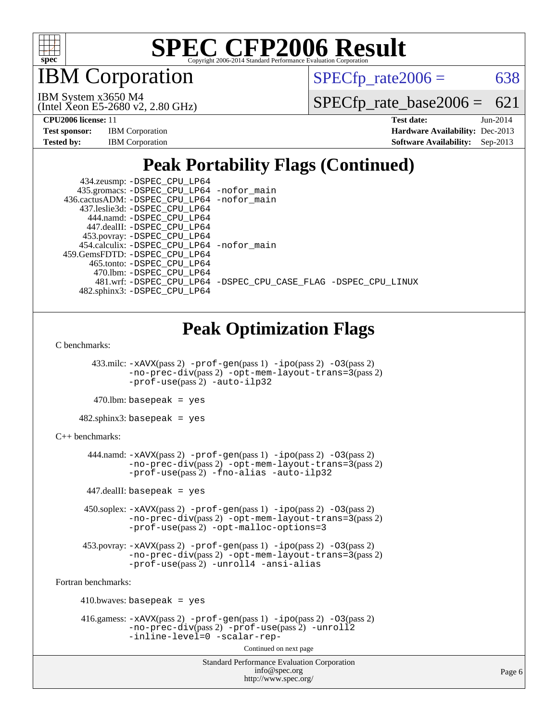

**BM** Corporation

 $SPECTp\_rate2006 = 638$ 

(Intel Xeon E5-2680 v2, 2.80 GHz) IBM System x3650 M4

[SPECfp\\_rate\\_base2006 =](http://www.spec.org/auto/cpu2006/Docs/result-fields.html#SPECfpratebase2006) 621

| <b>Test sponsor:</b> | <b>IBM</b> Corporation |
|----------------------|------------------------|
| <b>Tested by:</b>    | <b>IBM</b> Corporation |

**[CPU2006 license:](http://www.spec.org/auto/cpu2006/Docs/result-fields.html#CPU2006license)** 11 **[Test date:](http://www.spec.org/auto/cpu2006/Docs/result-fields.html#Testdate)** Jun-2014 **[Hardware Availability:](http://www.spec.org/auto/cpu2006/Docs/result-fields.html#HardwareAvailability)** Dec-2013 **[Software Availability:](http://www.spec.org/auto/cpu2006/Docs/result-fields.html#SoftwareAvailability)** Sep-2013

### **[Peak Portability Flags \(Continued\)](http://www.spec.org/auto/cpu2006/Docs/result-fields.html#PeakPortabilityFlags)**

| 434.zeusmp: - DSPEC_CPU_LP64               |                                                                |
|--------------------------------------------|----------------------------------------------------------------|
| 435.gromacs: -DSPEC_CPU_LP64 -nofor_main   |                                                                |
| 436.cactusADM: -DSPEC_CPU_LP64 -nofor_main |                                                                |
| 437.leslie3d: -DSPEC CPU LP64              |                                                                |
| 444.namd: -DSPEC CPU LP64                  |                                                                |
| 447.dealII: -DSPEC CPU LP64                |                                                                |
| 453.povray: -DSPEC_CPU_LP64                |                                                                |
| 454.calculix: -DSPEC_CPU_LP64 -nofor_main  |                                                                |
| 459.GemsFDTD: -DSPEC CPU LP64              |                                                                |
| 465.tonto: -DSPEC CPU LP64                 |                                                                |
| 470.1bm: - DSPEC CPU LP64                  |                                                                |
|                                            | 481.wrf: -DSPEC CPU_LP64 -DSPEC_CPU_CASE_FLAG -DSPEC_CPU_LINUX |
| 482.sphinx3: -DSPEC CPU LP64               |                                                                |

### **[Peak Optimization Flags](http://www.spec.org/auto/cpu2006/Docs/result-fields.html#PeakOptimizationFlags)**

[C benchmarks](http://www.spec.org/auto/cpu2006/Docs/result-fields.html#Cbenchmarks):

 433.milc: [-xAVX](http://www.spec.org/cpu2006/results/res2014q3/cpu2006-20140617-29958.flags.html#user_peakPASS2_CFLAGSPASS2_LDFLAGS433_milc_f-xAVX)(pass 2) [-prof-gen](http://www.spec.org/cpu2006/results/res2014q3/cpu2006-20140617-29958.flags.html#user_peakPASS1_CFLAGSPASS1_LDFLAGS433_milc_prof_gen_e43856698f6ca7b7e442dfd80e94a8fc)(pass 1) [-ipo](http://www.spec.org/cpu2006/results/res2014q3/cpu2006-20140617-29958.flags.html#user_peakPASS2_CFLAGSPASS2_LDFLAGS433_milc_f-ipo)(pass 2) [-O3](http://www.spec.org/cpu2006/results/res2014q3/cpu2006-20140617-29958.flags.html#user_peakPASS2_CFLAGSPASS2_LDFLAGS433_milc_f-O3)(pass 2) [-no-prec-div](http://www.spec.org/cpu2006/results/res2014q3/cpu2006-20140617-29958.flags.html#user_peakPASS2_CFLAGSPASS2_LDFLAGS433_milc_f-no-prec-div)(pass 2) [-opt-mem-layout-trans=3](http://www.spec.org/cpu2006/results/res2014q3/cpu2006-20140617-29958.flags.html#user_peakPASS2_CFLAGS433_milc_f-opt-mem-layout-trans_a7b82ad4bd7abf52556d4961a2ae94d5)(pass 2) [-prof-use](http://www.spec.org/cpu2006/results/res2014q3/cpu2006-20140617-29958.flags.html#user_peakPASS2_CFLAGSPASS2_LDFLAGS433_milc_prof_use_bccf7792157ff70d64e32fe3e1250b55)(pass 2) [-auto-ilp32](http://www.spec.org/cpu2006/results/res2014q3/cpu2006-20140617-29958.flags.html#user_peakCOPTIMIZE433_milc_f-auto-ilp32)

 $470.$ lbm: basepeak = yes

482.sphinx3: basepeak = yes

```
C++ benchmarks:
```
 444.namd: [-xAVX](http://www.spec.org/cpu2006/results/res2014q3/cpu2006-20140617-29958.flags.html#user_peakPASS2_CXXFLAGSPASS2_LDFLAGS444_namd_f-xAVX)(pass 2) [-prof-gen](http://www.spec.org/cpu2006/results/res2014q3/cpu2006-20140617-29958.flags.html#user_peakPASS1_CXXFLAGSPASS1_LDFLAGS444_namd_prof_gen_e43856698f6ca7b7e442dfd80e94a8fc)(pass 1) [-ipo](http://www.spec.org/cpu2006/results/res2014q3/cpu2006-20140617-29958.flags.html#user_peakPASS2_CXXFLAGSPASS2_LDFLAGS444_namd_f-ipo)(pass 2) [-O3](http://www.spec.org/cpu2006/results/res2014q3/cpu2006-20140617-29958.flags.html#user_peakPASS2_CXXFLAGSPASS2_LDFLAGS444_namd_f-O3)(pass 2) [-no-prec-div](http://www.spec.org/cpu2006/results/res2014q3/cpu2006-20140617-29958.flags.html#user_peakPASS2_CXXFLAGSPASS2_LDFLAGS444_namd_f-no-prec-div)(pass 2) [-opt-mem-layout-trans=3](http://www.spec.org/cpu2006/results/res2014q3/cpu2006-20140617-29958.flags.html#user_peakPASS2_CXXFLAGS444_namd_f-opt-mem-layout-trans_a7b82ad4bd7abf52556d4961a2ae94d5)(pass 2) [-prof-use](http://www.spec.org/cpu2006/results/res2014q3/cpu2006-20140617-29958.flags.html#user_peakPASS2_CXXFLAGSPASS2_LDFLAGS444_namd_prof_use_bccf7792157ff70d64e32fe3e1250b55)(pass 2) [-fno-alias](http://www.spec.org/cpu2006/results/res2014q3/cpu2006-20140617-29958.flags.html#user_peakCXXOPTIMIZE444_namd_f-no-alias_694e77f6c5a51e658e82ccff53a9e63a) [-auto-ilp32](http://www.spec.org/cpu2006/results/res2014q3/cpu2006-20140617-29958.flags.html#user_peakCXXOPTIMIZE444_namd_f-auto-ilp32)

 $447$ .dealII: basepeak = yes

 450.soplex: [-xAVX](http://www.spec.org/cpu2006/results/res2014q3/cpu2006-20140617-29958.flags.html#user_peakPASS2_CXXFLAGSPASS2_LDFLAGS450_soplex_f-xAVX)(pass 2) [-prof-gen](http://www.spec.org/cpu2006/results/res2014q3/cpu2006-20140617-29958.flags.html#user_peakPASS1_CXXFLAGSPASS1_LDFLAGS450_soplex_prof_gen_e43856698f6ca7b7e442dfd80e94a8fc)(pass 1) [-ipo](http://www.spec.org/cpu2006/results/res2014q3/cpu2006-20140617-29958.flags.html#user_peakPASS2_CXXFLAGSPASS2_LDFLAGS450_soplex_f-ipo)(pass 2) [-O3](http://www.spec.org/cpu2006/results/res2014q3/cpu2006-20140617-29958.flags.html#user_peakPASS2_CXXFLAGSPASS2_LDFLAGS450_soplex_f-O3)(pass 2) [-no-prec-div](http://www.spec.org/cpu2006/results/res2014q3/cpu2006-20140617-29958.flags.html#user_peakPASS2_CXXFLAGSPASS2_LDFLAGS450_soplex_f-no-prec-div)(pass 2) [-opt-mem-layout-trans=3](http://www.spec.org/cpu2006/results/res2014q3/cpu2006-20140617-29958.flags.html#user_peakPASS2_CXXFLAGS450_soplex_f-opt-mem-layout-trans_a7b82ad4bd7abf52556d4961a2ae94d5)(pass 2) [-prof-use](http://www.spec.org/cpu2006/results/res2014q3/cpu2006-20140617-29958.flags.html#user_peakPASS2_CXXFLAGSPASS2_LDFLAGS450_soplex_prof_use_bccf7792157ff70d64e32fe3e1250b55)(pass 2) [-opt-malloc-options=3](http://www.spec.org/cpu2006/results/res2014q3/cpu2006-20140617-29958.flags.html#user_peakOPTIMIZE450_soplex_f-opt-malloc-options_13ab9b803cf986b4ee62f0a5998c2238)

 453.povray: [-xAVX](http://www.spec.org/cpu2006/results/res2014q3/cpu2006-20140617-29958.flags.html#user_peakPASS2_CXXFLAGSPASS2_LDFLAGS453_povray_f-xAVX)(pass 2) [-prof-gen](http://www.spec.org/cpu2006/results/res2014q3/cpu2006-20140617-29958.flags.html#user_peakPASS1_CXXFLAGSPASS1_LDFLAGS453_povray_prof_gen_e43856698f6ca7b7e442dfd80e94a8fc)(pass 1) [-ipo](http://www.spec.org/cpu2006/results/res2014q3/cpu2006-20140617-29958.flags.html#user_peakPASS2_CXXFLAGSPASS2_LDFLAGS453_povray_f-ipo)(pass 2) [-O3](http://www.spec.org/cpu2006/results/res2014q3/cpu2006-20140617-29958.flags.html#user_peakPASS2_CXXFLAGSPASS2_LDFLAGS453_povray_f-O3)(pass 2) [-no-prec-div](http://www.spec.org/cpu2006/results/res2014q3/cpu2006-20140617-29958.flags.html#user_peakPASS2_CXXFLAGSPASS2_LDFLAGS453_povray_f-no-prec-div)(pass 2) [-opt-mem-layout-trans=3](http://www.spec.org/cpu2006/results/res2014q3/cpu2006-20140617-29958.flags.html#user_peakPASS2_CXXFLAGS453_povray_f-opt-mem-layout-trans_a7b82ad4bd7abf52556d4961a2ae94d5)(pass 2) [-prof-use](http://www.spec.org/cpu2006/results/res2014q3/cpu2006-20140617-29958.flags.html#user_peakPASS2_CXXFLAGSPASS2_LDFLAGS453_povray_prof_use_bccf7792157ff70d64e32fe3e1250b55)(pass 2) [-unroll4](http://www.spec.org/cpu2006/results/res2014q3/cpu2006-20140617-29958.flags.html#user_peakCXXOPTIMIZE453_povray_f-unroll_4e5e4ed65b7fd20bdcd365bec371b81f) [-ansi-alias](http://www.spec.org/cpu2006/results/res2014q3/cpu2006-20140617-29958.flags.html#user_peakCXXOPTIMIZE453_povray_f-ansi-alias)

[Fortran benchmarks](http://www.spec.org/auto/cpu2006/Docs/result-fields.html#Fortranbenchmarks):

 410.bwaves: basepeak = yes 416.gamess:  $-x$ AVX(pass 2)  $-p$ rof-gen(pass 1)  $-i$ po(pass 2)  $-$ O3(pass 2) [-no-prec-div](http://www.spec.org/cpu2006/results/res2014q3/cpu2006-20140617-29958.flags.html#user_peakPASS2_FFLAGSPASS2_LDFLAGS416_gamess_f-no-prec-div)(pass 2) [-prof-use](http://www.spec.org/cpu2006/results/res2014q3/cpu2006-20140617-29958.flags.html#user_peakPASS2_FFLAGSPASS2_LDFLAGS416_gamess_prof_use_bccf7792157ff70d64e32fe3e1250b55)(pass 2) [-unroll2](http://www.spec.org/cpu2006/results/res2014q3/cpu2006-20140617-29958.flags.html#user_peakOPTIMIZE416_gamess_f-unroll_784dae83bebfb236979b41d2422d7ec2) [-inline-level=0](http://www.spec.org/cpu2006/results/res2014q3/cpu2006-20140617-29958.flags.html#user_peakOPTIMIZE416_gamess_f-inline-level_318d07a09274ad25e8d15dbfaa68ba50) [-scalar-rep-](http://www.spec.org/cpu2006/results/res2014q3/cpu2006-20140617-29958.flags.html#user_peakOPTIMIZE416_gamess_f-disablescalarrep_abbcad04450fb118e4809c81d83c8a1d)

Continued on next page